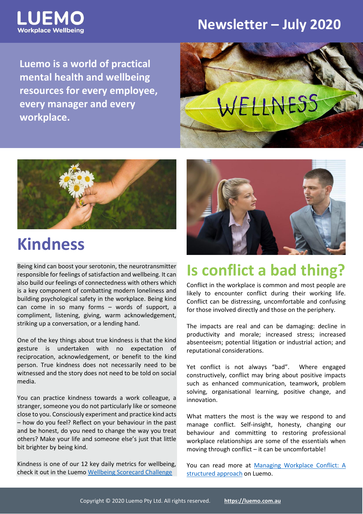

#### **Newsletter – July 2020**

**Luemo is a world of practical mental health and wellbeing resources for every employee, every manager and every workplace.**





## **Kindness**

Being kind can boost your serotonin, the neurotransmitter responsible for feelings of satisfaction and wellbeing. It can also build our feelings of connectedness with others which is a key component of combatting modern loneliness and building psychological safety in the workplace. Being kind can come in so many forms – words of support, a compliment, listening, giving, warm acknowledgement, striking up a conversation, or a lending hand.

One of the key things about true kindness is that the kind gesture is undertaken with no expectation of reciprocation, acknowledgement, or benefit to the kind person. True kindness does not necessarily need to be witnessed and the story does not need to be told on social media.

You can practice kindness towards a work colleague, a stranger, someone you do not particularly like or someone close to you. Consciously experiment and practice kind acts – how do you feel? Reflect on your behaviour in the past and be honest, do you need to change the way you treat others? Make your life and someone else's just that little bit brighter by being kind.

Kindness is one of our 12 key daily metrics for wellbeing, check it out in the Luemo [Wellbeing Scorecard Challenge](https://luemo.com.au/resource/balancing-your-wellbeing-scorecard/)



## **Is conflict a bad thing?**

Conflict in the workplace is common and most people are likely to encounter conflict during their working life. Conflict can be distressing, uncomfortable and confusing for those involved directly and those on the periphery.

The impacts are real and can be damaging: decline in productivity and morale; increased stress; increased absenteeism; potential litigation or industrial action; and reputational considerations.

Yet conflict is not always "bad". Where engaged constructively, conflict may bring about positive impacts such as enhanced communication, teamwork, problem solving, organisational learning, positive change, and innovation.

What matters the most is the way we respond to and manage conflict. Self-insight, honesty, changing our behaviour and committing to restoring professional workplace relationships are some of the essentials when moving through conflict – it can be uncomfortable!

You can read more at [Managing Workplace Conflict: A](https://luemo.com.au/resource/tool-kit-for-managing-workplace-conflict/)  [structured](https://luemo.com.au/resource/tool-kit-for-managing-workplace-conflict/) approach on Luemo.